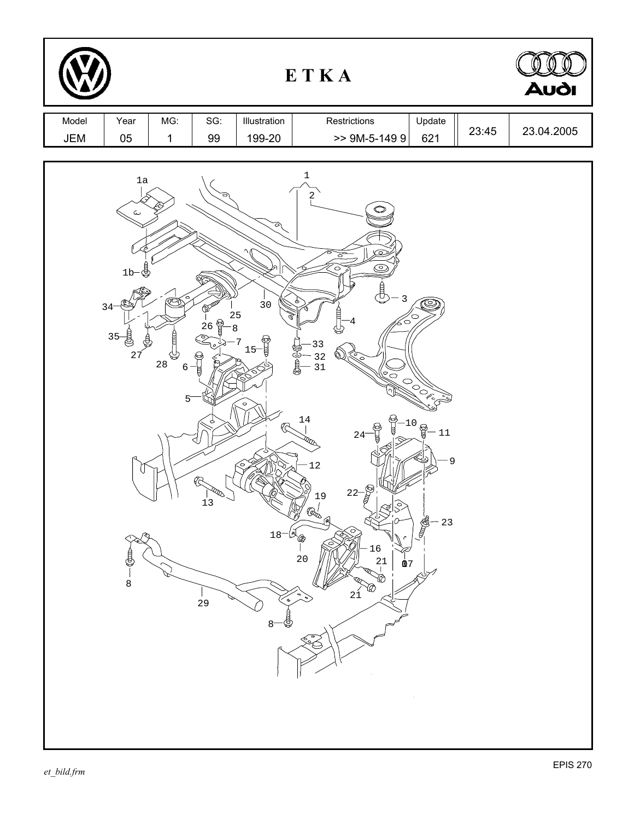|              |                                                                                                                         |                                           |                                                               |                                                                                                                      | ETKA                                                                                                                                                                                                                                                                                                    |                                                                         |       | <b>Audi</b> |
|--------------|-------------------------------------------------------------------------------------------------------------------------|-------------------------------------------|---------------------------------------------------------------|----------------------------------------------------------------------------------------------------------------------|---------------------------------------------------------------------------------------------------------------------------------------------------------------------------------------------------------------------------------------------------------------------------------------------------------|-------------------------------------------------------------------------|-------|-------------|
| Model<br>JEM | Year<br>05                                                                                                              | MG:<br>$\mathbf 1$                        | SG:<br>99                                                     | Illustration<br>199-20                                                                                               | Restrictions<br>$>>$ 9M-5-149 9                                                                                                                                                                                                                                                                         | Update<br>621                                                           | 23:45 | 23.04.2005  |
|              | $1\mathrm{a}$<br>ىپ<br>$1b-\frac{1}{2}$<br>⅏<br>$34 -$<br>$35 -$<br>È<br>27<br>$\overline{\mathbb{Q}}$<br>$\frac{1}{8}$ | ଧ୍ୟ<br>$2\sqrt{8}$<br>$\mathbf 6$<br>$5-$ | <b>DOM</b><br>$\frac{1}{26}$<br>- 1<br><b>RRD</b><br>13<br>29 | ○<br>$\overline{3}0$<br>25<br>$\bf 8$<br>$15 - \frac{6}{4}$<br>7<br>i<br>Broad<br>$\circ$<br>18<br>B<br>$\mathbf{8}$ | $\mathbf 1$<br>2<br>ਠ<br><u>ි</u><br>3<br>O<br>33<br>32<br>31<br>$\widetilde{\mathscr{C}}$<br>14<br>e<br>T<br>$24^{-}$<br><b>RED</b><br>12<br>$22-\frac{8}{9}$<br>19<br>$\mathbb{Q}^1_{\infty}$<br>ſА<br>٦<br>$\begin{array}{c} 16 \\ 21 \\ 1 \end{array}$<br>20<br>$\pmb{\mathbb{0}}$ 7<br><br>œ<br>21 | <b>POOF</b><br>$-10$<br><b>COM</b><br>$-11$<br>9<br><b>READER</b><br>23 |       |             |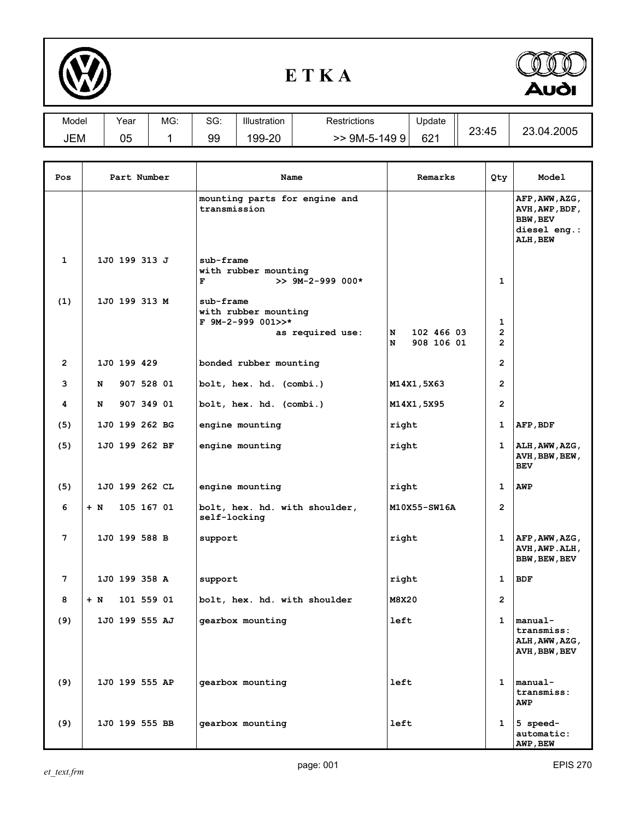

## **E T K A**



| Model | Year | MG: | $\sim$<br>טכ. | Illustration | Restrictions        | Jpdate          |       | 1.04.2005<br>ົດ<br>∠◡ |
|-------|------|-----|---------------|--------------|---------------------|-----------------|-------|-----------------------|
| JEM   | 05   |     | 99            | 199-20       | 9M-5-149<br>q<br>>> | 62 <sup>1</sup> | 23:45 |                       |

| Pos            | Part Number         | Name                                                                       | Remarks                            | Qty                                   | Model                                                                    |
|----------------|---------------------|----------------------------------------------------------------------------|------------------------------------|---------------------------------------|--------------------------------------------------------------------------|
|                |                     | mounting parts for engine and<br>transmission                              |                                    |                                       | AFP, AWW, AZG,<br>AVH, AWP, BDF,<br>BBW, BEV<br>diesel eng.:<br>ALH, BEW |
| $\mathbf 1$    | 1J0 199 313 J       | sub-frame<br>with rubber mounting<br>F<br>$>> 9M-2-999 000*$               |                                    | $\mathbf{1}$                          |                                                                          |
| (1)            | 1J0 199 313 M       | sub-frame<br>with rubber mounting<br>F 9M-2-999 001>>*<br>as required use: | 102 466 03<br>N<br>908 106 01<br>N | 1<br>$\overline{2}$<br>$\overline{2}$ |                                                                          |
| $\overline{2}$ | 1J0 199 429         | bonded rubber mounting                                                     |                                    | $\overline{2}$                        |                                                                          |
| 3              | 907 528 01<br>N     | bolt, hex. hd. (combi.)                                                    | M14X1,5X63                         | $\overline{2}$                        |                                                                          |
| 4              | 907 349 01<br>N     | bolt, hex. hd. (combi.)                                                    | M14X1,5X95                         | $\mathbf{2}$                          |                                                                          |
| (5)            | 1J0 199 262 BG      | engine mounting                                                            | right                              | 1                                     | AFP, BDF                                                                 |
| (5)            | 1J0 199 262 BF      | engine mounting                                                            | right                              | 1                                     | ALH, AWW, AZG,<br>AVH, BBW, BEW,<br><b>BEV</b>                           |
| (5)            | 1J0 199 262 CL      | engine mounting                                                            | right                              | 1                                     | AWP                                                                      |
| 6              | 105 167 01<br>$+$ N | bolt, hex. hd. with shoulder,<br>self-locking                              | M10X55-SW16A                       | $\overline{2}$                        |                                                                          |
| 7              | 1J0 199 588 B       | support                                                                    | right                              | 1                                     | AFP, AWW, AZG,<br>AVH, AWP. ALH,<br>BBW, BEW, BEV                        |
| 7              | 1J0 199 358 A       | support                                                                    | right                              | 1                                     | <b>BDF</b>                                                               |
| 8              | 101 559 01<br>+ N   | bolt, hex. hd. with shoulder                                               | M8X20                              | $\overline{2}$                        |                                                                          |
| (9)            | 1J0 199 555 AJ      | gearbox mounting                                                           | left                               | 1                                     | manual-<br>transmiss:<br>ALH, AWW, AZG,<br>AVH, BBW, BEV                 |
| (9)            | 1J0 199 555 AP      | gearbox mounting                                                           | left                               |                                       | $1$   manual-<br>transmiss:<br><b>AWP</b>                                |
| (9)            | 1J0 199 555 BB      | gearbox mounting                                                           | left                               | 1                                     | 5 speed-<br>automatic:<br>AWP, BEW                                       |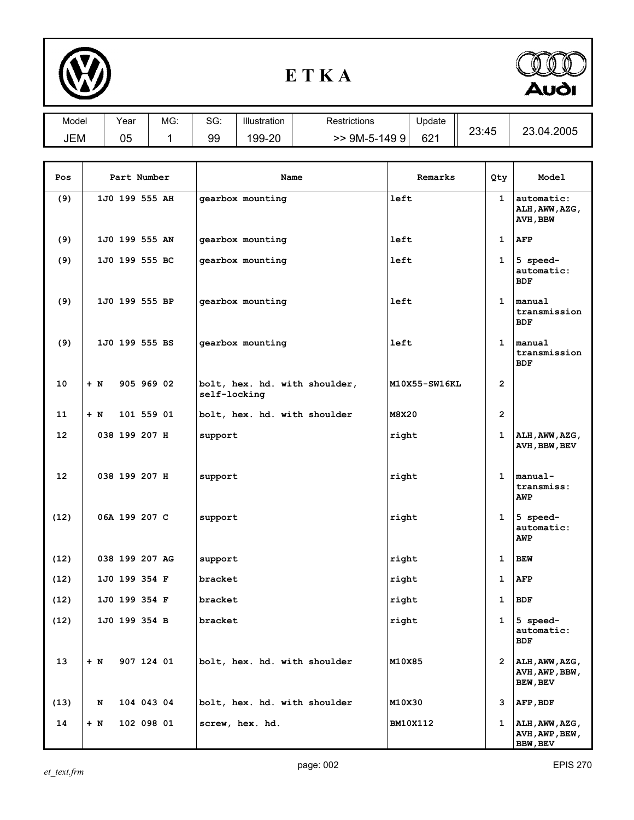

## **E T K A**



| Model             |             | Year           |            | MG: | SG:          | Illustration             | Restrictions                  | Update          |               |              |                                      |                                                      |
|-------------------|-------------|----------------|------------|-----|--------------|--------------------------|-------------------------------|-----------------|---------------|--------------|--------------------------------------|------------------------------------------------------|
| JEM               |             | 05             |            | 1   | 99           | 199-20                   | $>$ 9M-5-1499                 | 621             |               |              | 23:45                                | 23.04.2005                                           |
|                   |             |                |            |     |              |                          |                               |                 |               |              |                                      |                                                      |
| Pos               | Part Number |                |            |     | Name         |                          |                               | Remarks         |               |              | Qty.                                 | Model                                                |
| (9)               |             | 1J0 199 555 AH |            |     |              | gearbox mounting         |                               | left            |               |              | $\mathbf{1}$                         | automatic:<br>ALH, AWW, AZG,<br>AVH, BBW             |
| (9)               |             | 1J0 199 555 AN |            |     |              | gearbox mounting         |                               | left            |               |              | 1                                    | <b>AFP</b>                                           |
| (9)               |             | 1J0 199 555 BC |            |     |              | gearbox mounting         |                               | left            |               |              | $\mathbf{1}$                         | 5 speed-<br>automatic:<br><b>BDF</b>                 |
| (9)               |             | 1J0 199 555 BP |            |     |              | gearbox mounting<br>left |                               |                 |               |              | $\mathbf{1}$                         | manual<br>transmission<br><b>BDF</b>                 |
| (9)               |             | 1J0 199 555 BS |            |     |              | gearbox mounting         | left                          |                 |               | $\mathbf{1}$ | manual<br>transmission<br><b>BDF</b> |                                                      |
| 10                | $+ N$       |                | 905 969 02 |     | self-locking |                          | bolt, hex. hd. with shoulder, |                 | M10X55-SW16KL |              | $\overline{2}$                       |                                                      |
| 11                | $+ N$       |                | 101 559 01 |     |              |                          | bolt, hex. hd. with shoulder  | M8X20           |               |              | $\overline{2}$                       |                                                      |
| 12                |             | 038 199 207 H  |            |     | support      |                          |                               | right           |               |              | $\mathbf{1}$                         | ALH, AWW, AZG,<br>AVH, BBW, BEV                      |
| $12 \overline{ }$ |             | 038 199 207 H  |            |     | support      |                          |                               | right           |               |              | $\mathbf{1}$                         | manual-<br>transmiss:<br><b>AWP</b>                  |
| (12)              |             | 06A 199 207 C  |            |     |              | support<br>right         |                               |                 |               | $\mathbf{1}$ | 5 speed-<br>automatic:<br><b>AWP</b> |                                                      |
| (12)              |             | 038 199 207 AG |            |     | support      |                          |                               | right           |               |              | $\mathbf{1}$                         | <b>BEW</b>                                           |
| (12)              |             | 1J0 199 354 F  |            |     | bracket      |                          |                               | right           |               |              | 1                                    | AFP                                                  |
| (12)              |             | 1J0 199 354 F  |            |     | bracket      |                          |                               | right           |               |              | 1                                    | <b>BDF</b>                                           |
| (12)              |             | 1J0 199 354 B  |            |     | bracket      |                          |                               | right           |               |              | $\mathbf{1}$                         | 5 speed-<br>automatic:<br><b>BDF</b>                 |
| 13                | $+$ N       |                | 907 124 01 |     |              |                          | bolt, hex. hd. with shoulder  | M10X85          |               |              | $\overline{2}$                       | ALH, AWW, AZG,<br>AVH, AWP, BBW,<br>BEW, BEV         |
| (13)              | N           |                | 104 043 04 |     |              |                          | bolt, hex. hd. with shoulder  | M10X30          |               |              | 3                                    | AFP, BDF                                             |
| 14                | $+$ N       |                | 102 098 01 |     |              | screw, hex. hd.          |                               | <b>BM10X112</b> |               |              | $\mathbf{1}$                         | $\vert$ ALH, AWW, AZG,<br>AVH, AWP, BEW,<br>BBW, BEV |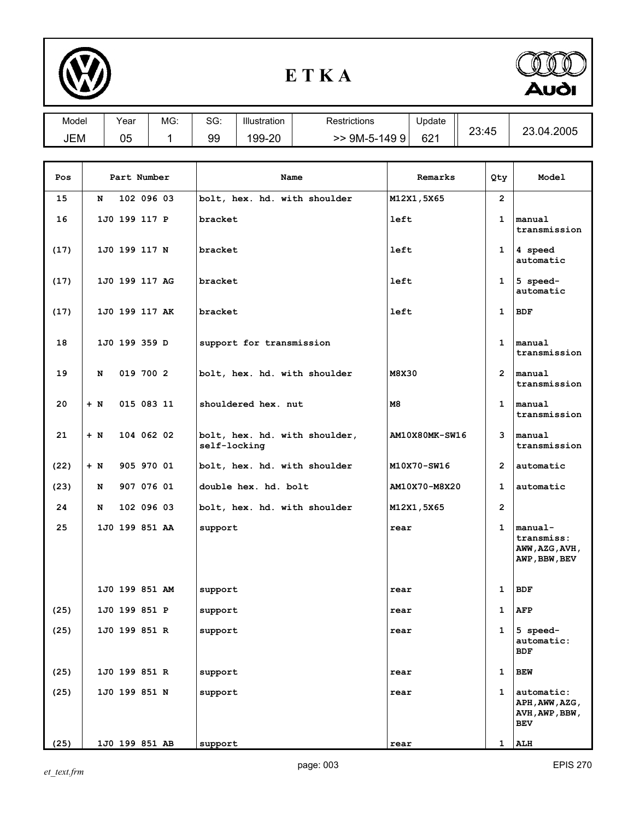

## **E T K A**



| Model              | Year | MG:        | SG: | Illustration | <b>Restrictions</b>          | Update     |          |            |
|--------------------|------|------------|-----|--------------|------------------------------|------------|----------|------------|
| <b>JEM</b>         | 05   |            | 99  | 199-20       | $>>$ 9M-5-149 9              | 621        | 23:45    | 23.04.2005 |
|                    |      |            |     |              |                              |            |          |            |
| Part Number<br>Pos |      |            |     |              | Name                         | Remarks    | Qty      | Model      |
| 15                 | N    | 102 096 03 |     |              | bolt, hex. hd. with shoulder | M12X1,5X65 | <u>ົ</u> |            |

| 15   | N     |                | 102 096 03 | bolt, hex. hd. with shoulder                  | M12X1,5X65     | $\overline{2}$        |                                                              |
|------|-------|----------------|------------|-----------------------------------------------|----------------|-----------------------|--------------------------------------------------------------|
| 16   |       | 1J0 199 117 P  |            | bracket                                       | left           | 1                     | manual<br>transmission                                       |
| (17) |       | 1J0 199 117 N  |            | bracket                                       | left           | $\mathbf{1}$          | 4 speed<br>automatic                                         |
| (17) |       | 1J0 199 117 AG |            | bracket                                       | left           | 1                     | 5 speed-<br>automatic                                        |
| (17) |       | 1J0 199 117 AK |            | bracket                                       | left           | 1                     | <b>BDF</b>                                                   |
| 18   |       | 1J0 199 359 D  |            | support for transmission                      |                | $\mathbf{1}$          | manual<br>transmission                                       |
| 19   | N     |                | 019 700 2  | bolt, hex. hd. with shoulder                  | M8X30          | $\mathbf{2}^{\prime}$ | manual<br>transmission                                       |
| 20   | $+ N$ |                | 015 083 11 | shouldered hex. nut                           | M8             | $\mathbf{1}$          | manual<br>transmission                                       |
| 21   | $+ N$ |                | 104 062 02 | bolt, hex. hd. with shoulder,<br>self-locking | AM10X80MK-SW16 | 3                     | manual<br>transmission                                       |
| (22) | $+ N$ |                | 905 970 01 | bolt, hex. hd. with shoulder                  | M10X70-SW16    | $\overline{2}$        | automatic                                                    |
| (23) | N     |                | 907 076 01 | double hex. hd. bolt                          | AM10X70-M8X20  | 1                     | automatic                                                    |
| 24   | N     |                | 102 096 03 | bolt, hex. hd. with shoulder                  | M12X1,5X65     | $\overline{2}$        |                                                              |
| 25   |       | 1J0 199 851 AA |            | support                                       | rear           | $\mathbf{1}$          | $ $ manual-<br>transmiss:<br>AWW, AZG, AVH,<br>AWP, BBW, BEV |
|      |       | 1J0 199 851 AM |            | support                                       | rear           | $\mathbf 1$           | <b>BDF</b>                                                   |
| (25) |       | 1J0 199 851 P  |            | support                                       | rear           | 1                     | <b>AFP</b>                                                   |
| (25) |       | 1J0 199 851 R  |            | support                                       | rear           | 1                     | 5 speed-<br>automatic:<br>BDF                                |
| (25) |       | 1J0 199 851 R  |            | support                                       | rear           | 1                     | <b>BEW</b>                                                   |
| (25) |       | 1J0 199 851 N  |            | support                                       | rear           | 1                     | automatic:<br>APH, AWW, AZG,<br>AVH, AWP, BBW,<br><b>BEV</b> |
| (25) |       | 1J0 199 851 AB |            | support                                       | rear           | $\mathbf{1}$          | ALH                                                          |